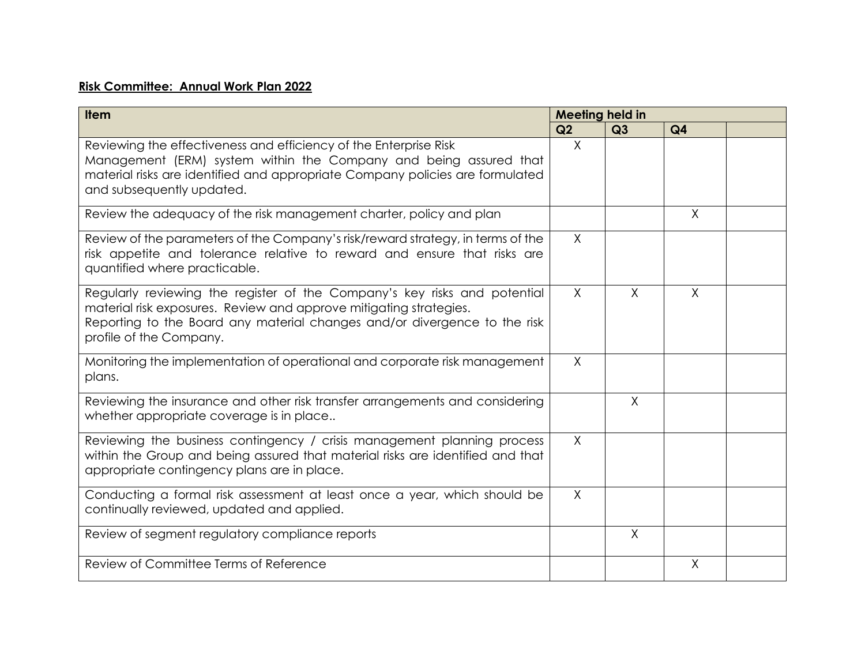## **Risk Committee: Annual Work Plan 2022**

| <b>Item</b>                                                                                                                                                                                                                                             | <b>Meeting held in</b> |          |                |  |
|---------------------------------------------------------------------------------------------------------------------------------------------------------------------------------------------------------------------------------------------------------|------------------------|----------|----------------|--|
|                                                                                                                                                                                                                                                         | Q2                     | Q3       | Q <sub>4</sub> |  |
| Reviewing the effectiveness and efficiency of the Enterprise Risk<br>Management (ERM) system within the Company and being assured that<br>material risks are identified and appropriate Company policies are formulated<br>and subsequently updated.    | $\times$               |          |                |  |
| Review the adequacy of the risk management charter, policy and plan                                                                                                                                                                                     |                        |          | X              |  |
| Review of the parameters of the Company's risk/reward strategy, in terms of the<br>risk appetite and tolerance relative to reward and ensure that risks are<br>quantified where practicable.                                                            | $\times$               |          |                |  |
| Regularly reviewing the register of the Company's key risks and potential<br>material risk exposures. Review and approve mitigating strategies.<br>Reporting to the Board any material changes and/or divergence to the risk<br>profile of the Company. | $\chi$                 | $\times$ | $\sf X$        |  |
| Monitoring the implementation of operational and corporate risk management<br>plans.                                                                                                                                                                    | $\times$               |          |                |  |
| Reviewing the insurance and other risk transfer arrangements and considering<br>whether appropriate coverage is in place                                                                                                                                |                        | $\sf X$  |                |  |
| Reviewing the business contingency / crisis management planning process<br>within the Group and being assured that material risks are identified and that<br>appropriate contingency plans are in place.                                                | $\chi$                 |          |                |  |
| Conducting a formal risk assessment at least once a year, which should be<br>continually reviewed, updated and applied.                                                                                                                                 | $\times$               |          |                |  |
| Review of segment regulatory compliance reports                                                                                                                                                                                                         |                        | $\sf X$  |                |  |
| Review of Committee Terms of Reference                                                                                                                                                                                                                  |                        |          | $\sf X$        |  |